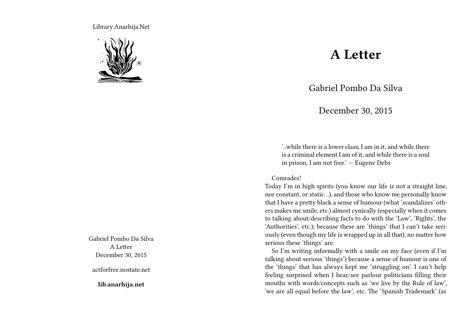Library.Anarhija.Net



Gabriel Pombo Da Silva A Letter December 30, 2015

actforfree.nostate.net

**lib.anarhija.net**

## **A Letter**

Gabriel Pombo Da Silva

December 30, 2015

'..while there is a lower class, I am in it, and while there is a criminal element I am of it, and while there is a soul in prison, I am not free.' — Eugene Debs

Comrades!

Today I'm in high spirits (you know our life is not a straight line, nor constant, or static…), and those who know me personally know that I have a pretty black a sense of humour (what 'scandalizes' others makes me smile, etc.) almost cynically (especially when it comes to talking about/describing facts to do with the 'Law', 'Rights', the 'Authorities', etc.); because these are 'things' that I can't take seriously (even though my life is wrapped up in all that), no matter how serious these 'things' are.

So I'm writing informally with a smile on my face (even if I'm talking about serious 'things') because a sense of humour is one of the 'things' that has always kept me 'struggling on'. I can't help feeling surprised when I hear/see parlour politicians filling their mouths with words/concepts such as 'we live by the Rule of law', 'we are all equal before the law', etc. The 'Spanish Trademark' (as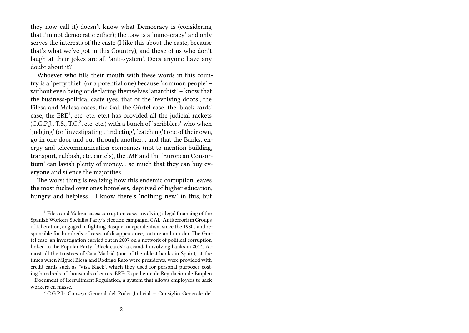they now call it) doesn't know what Democracy is (considering that I'm not democratic either); the Law is a 'mino-cracy' and only serves the interests of the caste (I like this about the caste, because that's what we've got in this Country), and those of us who don't laugh at their jokes are all 'anti-system'. Does anyone have any doubt about it?

Whoever who fills their mouth with these words in this country is a 'petty thief' (or a potential one) because 'common people' – without even being or declaring themselves 'anarchist' – know that the business-political caste (yes, that of the 'revolving doors', the Filesa and Malesa cases, the Gal, the Gürtel case, the 'black cards' case, the ERE<sup>1</sup>, etc. etc. etc.) has provided all the judicial rackets (C.G.P.J., T.S., T.C.<sup>2</sup>, etc. etc.) with a bunch of 'scribblers' who when 'judging' (or 'investigating', 'indicting', 'catching') one of their own, go in one door and out through another… and that the Banks, energy and telecommunication companies (not to mention building, transport, rubbish, etc. cartels), the IMF and the 'European Consortium' can lavish plenty of money… so much that they can buy everyone and silence the majorities.

The worst thing is realizing how this endemic corruption leaves the most fucked over ones homeless, deprived of higher education, hungry and helpless… I know there's 'nothing new' in this, but

<sup>1</sup> Filesa and Malesa cases: corruption cases involving illegal financing of the Spanish Workers Socialist Party's election campaign. GAL: Antiterrorism Groups of Liberation, engaged in fighting Basque independentism since the 1980s and responsible for hundreds of cases of disappearance, torture and murder. The Gürtel case: an investigation carried out in 2007 on a network of political corruption linked to the Popular Party. 'Black cards': a scandal involving banks in 2014. Almost all the trustees of Caja Madrid (one of the oldest banks in Spain), at the times when Miguel Blesa and Rodrigo Rato were presidents, were provided with credit cards such as 'Visa Black', which they used for personal purposes costing hundreds of thousands of euros. ERE: Expediente de Regulación de Empleo – Document of Recruitment Regulation, a system that allows employers to sack workers en masse.

<sup>2</sup> C.G.P.J.: Consejo General del Poder Judicial – Consiglio Generale del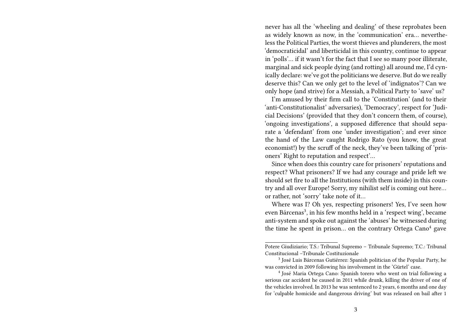never has all the 'wheeling and dealing' of these reprobates been as widely known as now, in the 'communication' era… nevertheless the Political Parties, the worst thieves and plunderers, the most 'democraticidal' and liberticidal in this country, continue to appear in 'polls'… if it wasn't for the fact that I see so many poor illiterate, marginal and sick people dying (and rotting) all around me, I'd cynically declare: we've got the politicians we deserve. But do we really deserve this? Can we only get to the level of 'indignatos'? Can we only hope (and strive) for a Messiah, a Political Party to 'save' us?

I'm amused by their firm call to the 'Constitution' (and to their 'anti-Constitutionalist' adversaries), 'Democracy', respect for 'Judicial Decisions' (provided that they don't concern them, of course), 'ongoing investigations', a supposed difference that should separate a 'defendant' from one 'under investigation'; and ever since the hand of the Law caught Rodrigo Rato (you know, the great economist!) by the scruff of the neck, they've been talking of 'prisoners' Right to reputation and respect'…

Since when does this country care for prisoners' reputations and respect? What prisoners? If we had any courage and pride left we should set fire to all the Institutions (with them inside) in this country and all over Europe! Sorry, my nihilist self is coming out here… or rather, not 'sorry' take note of it…

Where was I? Oh yes, respecting prisoners! Yes, I've seen how even Bárcenas<sup>3</sup>, in his few months held in a 'respect wing', became anti-system and spoke out against the 'abuses' he witnessed during the time he spent in prison... on the contrary Ortega Cano<sup>4</sup> gave

Potere Giudiziario; T.S.: Tribunal Supremo – Tribunale Supremo; T.C.: Tribunal Constitucional –Tribunale Costituzionale

<sup>&</sup>lt;sup>3</sup> José Luis Bárcenas Gutiérrez: Spanish politician of the Popular Party, he was convicted in 2009 following his involvement in the 'Gürtel' case.

<sup>4</sup> José Maria Ortega Cano: Spanish torero who went on trial following a serious car accident he caused in 2011 while drunk, killing the driver of one of the vehicles involved. In 2013 he was sentenced to 2 years, 6 months and one day for 'culpable homicide and dangerous driving' but was released on bail after 1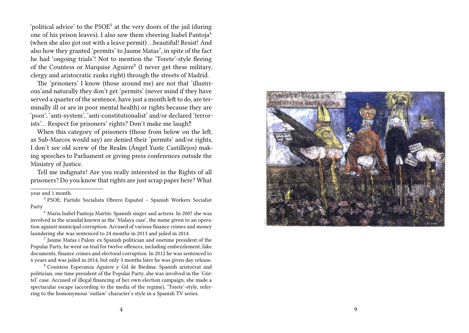'political advice' to the PSOE<sup>5</sup> at the very doors of the jail (during one of his prison leaves). I also saw them cheering Isabel Pantoja<sup>6</sup> (when she also got out with a leave permit) …beautiful! Resist! And also how they granted 'permits' to Jaume Matas<sup>7</sup>, in spite of the fact he had 'ongoing trials'! Not to mention the 'Torete'-style fleeing of the Countess or Marquise Aguirre<sup>8</sup> (I never get these military, clergy and aristocratic ranks right) through the streets of Madrid.

The 'prisoners' I know (those around me) are not that 'illustrious'and naturally they don't get 'permits' (never mind if they have served a quarter of the sentence, have just a month left to do, are terminally ill or are in poor mental health) or rights because they are 'poor', 'anti-system', 'anti-constitutionalist' and/or declared 'terrorists'… Respect for prisoners' rights? Don't make me laugh‼

When this category of prisoners (those from below on the left, as Sub-Marcos would say) are denied their 'permits' and/or rights, I don't see old screw of the Realm (Ángel Yuste Castillejos) making speeches to Parliament or giving press conferences outside the Ministry of Justice.

Tell me indignatx! Are you really interested in the Rights of all prisoners? Do you know that rights are just scrap paper here? What

year and 1 month.

<sup>8</sup> Countess Esperanza Aguirre y Gil de Biedma: Spanish aristocrat and politician, one time president of the Popular Party, she was involved in the 'Gürtel' case. Accused of illegal financing of her own election campaign, she made a spectacular escape (according to the media of the regime), 'Torete'-style, referring to the homonymous 'outlaw' character's style in a Spanish TV series.



<sup>5</sup> PSOE: Partido Socialista Obrero Español – Spanish Workers Socialist Party

<sup>6</sup> María Isabel Pantoja Martín: Spanish singer and actress. In 2007 she was involved in the scandal known as the 'Malaya case', the name given to an operation against municipal corruption. Accused of various finance crimes and money laundering she was sentenced to 24 months in 2013 and jailed in 2014.

<sup>7</sup> Jaume Matas i Palon: ex Spanish politician and onetime president of the Popular Party, he went on trial for twelve offences, including embezzlement, fake documents, finance crimes and electoral corruption. In 2012 he was sentenced to 6 years and was jailed in 2014, but only 3 months later he was given day release.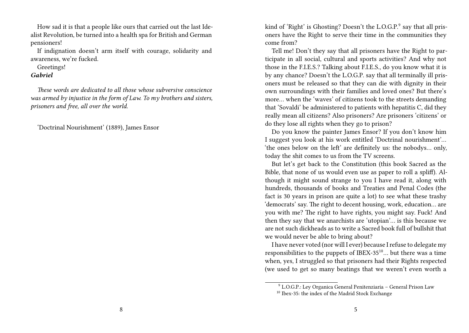How sad it is that a people like ours that carried out the last Idealist Revolution, be turned into a health spa for British and German pensioners!

If indignation doesn't arm itself with courage, solidarity and awareness, we're fucked.

Greetings!

## *Gabriel*

*These words are dedicated to all those whose subversive conscience was armed by injustice in the form of Law. To my brothers and sisters, prisoners and free, all over the world.*

'Doctrinal Nourishment' (1889), James Ensor

kind of 'Right' is Ghosting? Doesn't the L.O.G.P.<sup>9</sup> say that all prisoners have the Right to serve their time in the communities they come from?

Tell me! Don't they say that all prisoners have the Right to participate in all social, cultural and sports activities? And why not those in the F.I.E.S.? Talking about F.I.E.S., do you know what it is by any chance? Doesn't the L.O.G.P. say that all terminally ill prisoners must be released so that they can die with dignity in their own surroundings with their families and loved ones? But there's more… when the 'waves' of citizens took to the streets demanding that 'Sovaldi' be administered to patients with hepatitis C, did they really mean all citizens? Also prisoners? Are prisoners 'citizens' or do they lose all rights when they go to prison?

Do you know the painter James Ensor? If you don't know him I suggest you look at his work entitled 'Doctrinal nourishment'… 'the ones below on the left' are definitely us: the nobodys… only, today the shit comes to us from the TV screens.

But let's get back to the Constitution (this book Sacred as the Bible, that none of us would even use as paper to roll a spliff). Although it might sound strange to you I have read it, along with hundreds, thousands of books and Treaties and Penal Codes (the fact is 30 years in prison are quite a lot) to see what these trashy 'democrats' say. The right to decent housing, work, education… are you with me? The right to have rights, you might say. Fuck! And then they say that we anarchists are 'utopian'… is this because we are not such dickheads as to write a Sacred book full of bullshit that we would never be able to bring about?

I have never voted (nor will I ever) because I refuse to delegate my responsibilities to the puppets of IBEX-35 $^{10}$ ... but there was a time when, yes, I struggled so that prisoners had their Rights respected (we used to get so many beatings that we weren't even worth a

<sup>9</sup> L.O.G.P.: Ley Organica General Penitenziaria – General Prison Law

<sup>10</sup> Ibex-35: the index of the Madrid Stock Exchange